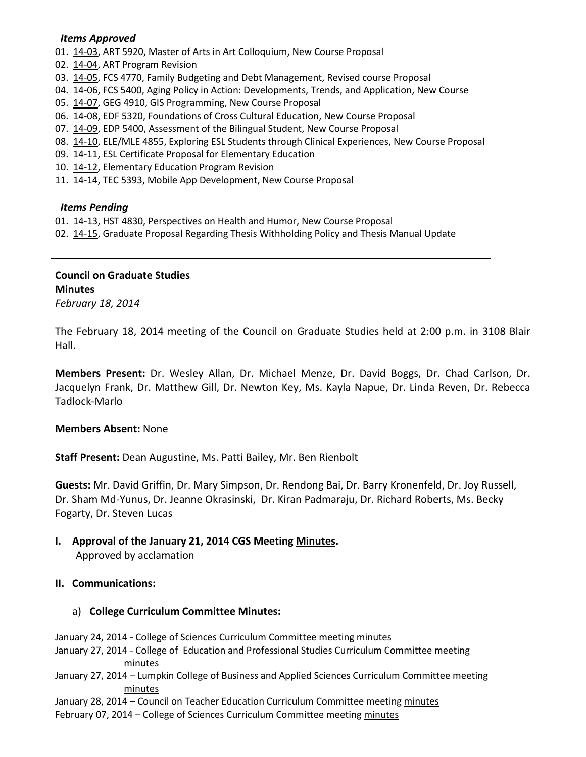#### *Items Approved*

01. [14-03,](http://castle.eiu.edu/~eiucgs/currentagendaitems/agenda14-03.pdf) ART 5920, Master of Arts in Art Colloquium, New Course Proposal

- 02. [14-04,](http://castle.eiu.edu/~eiucgs/currentagendaitems/agenda14-04.pdf) ART Program Revision
- 03. [14-05,](http://castle.eiu.edu/~eiucgs/currentagendaitems/agenda14-05.pdf) FCS 4770, Family Budgeting and Debt Management, Revised course Proposal
- 04. [14-06,](http://castle.eiu.edu/~eiucgs/currentagendaitems/agenda14-06.pdf) FCS 5400, Aging Policy in Action: Developments, Trends, and Application, New Course
- 05. [14-07,](http://castle.eiu.edu/~eiucgs/currentagendaitems/agenda14-07.pdf) GEG 4910, GIS Programming, New Course Proposal
- 06. [14-08,](http://castle.eiu.edu/~eiucgs/currentagendaitems/agenda14-08.pdf) EDF 5320, Foundations of Cross Cultural Education, New Course Proposal
- 07. [14-09,](http://castle.eiu.edu/~eiucgs/currentagendaitems/agenda14-09.pdf) EDP 5400, Assessment of the Bilingual Student, New Course Proposal
- 08. [14-10,](http://castle.eiu.edu/~eiucgs/currentagendaitems/agenda14-10.pdf) ELE/MLE 4855, Exploring ESL Students through Clinical Experiences, New Course Proposal
- 09. [14-11,](http://castle.eiu.edu/~eiucgs/currentagendaitems/agenda14-11.pdf) ESL Certificate Proposal for Elementary Education
- 10. [14-12,](http://castle.eiu.edu/~eiucgs/currentagendaitems/agenda14-12.pdf) Elementary Education Program Revision
- 11. [14-14,](http://castle.eiu.edu/~eiucgs/currentagendaitems/agenda14-14.pdf) TEC 5393, Mobile App Development, New Course Proposal

### *Items Pending*

- 01. [14-13,](http://castle.eiu.edu/~eiucgs/currentagendaitems/agenda14-13.pdf) HST 4830, Perspectives on Health and Humor, New Course Proposal
- 02. [14-15,](http://castle.eiu.edu/~eiucgs/currentagendaitems/agenda14-15.pdf) Graduate Proposal Regarding Thesis Withholding Policy and Thesis Manual Update

# **Council on Graduate Studies Minutes**

*February 18, 2014*

The February 18, 2014 meeting of the Council on Graduate Studies held at 2:00 p.m. in 3108 Blair Hall.

**Members Present:** Dr. Wesley Allan, Dr. Michael Menze, Dr. David Boggs, Dr. Chad Carlson, Dr. Jacquelyn Frank, Dr. Matthew Gill, Dr. Newton Key, Ms. Kayla Napue, Dr. Linda Reven, Dr. Rebecca Tadlock-Marlo

# **Members Absent:** None

**Staff Present:** Dean Augustine, Ms. Patti Bailey, Mr. Ben Rienbolt

**Guests:** Mr. David Griffin, Dr. Mary Simpson, Dr. Rendong Bai, Dr. Barry Kronenfeld, Dr. Joy Russell, Dr. Sham Md-Yunus, Dr. Jeanne Okrasinski, Dr. Kiran Padmaraju, Dr. Richard Roberts, Ms. Becky Fogarty, Dr. Steven Lucas

**I. Approval of the January 21, 2014 CGS Meeting [Minutes.](http://castle.eiu.edu/eiucgs/currentminutes/Minutes01-21-14.pdf)**

Approved by acclamation

# **II. Communications:**

# a) **College Curriculum Committee Minutes:**

January 24, 2014 - College of Sciences Curriculum Committee meetin[g minutes](http://castle.eiu.edu/~eiucgs/currentagendaitems/COSMin01-24-14.pdf)

- January 27, 2014 College of Education and Professional Studies Curriculum Committee meeting [minutes](http://castle.eiu.edu/~eiucgs/currentagendaitems/CEPSMin01-27-14.pdf)
- January 27, 2014 Lumpkin College of Business and Applied Sciences Curriculum Committee meeting [minutes](http://castle.eiu.edu/~eiucgs/currentagendaitems/LCBASMin01-27-14.pdf)

January 28, 2014 – Council on Teacher Education Curriculum Committee meeting [minutes](http://castle.eiu.edu/~eiucgs/currentagendaitems/COTEMin01-28-14.pdf)

February 07, 2014 – College of Sciences Curriculum Committee meetin[g minutes](http://castle.eiu.edu/~eiucgs/currentagendaitems/COSMin02-07-14.pdf)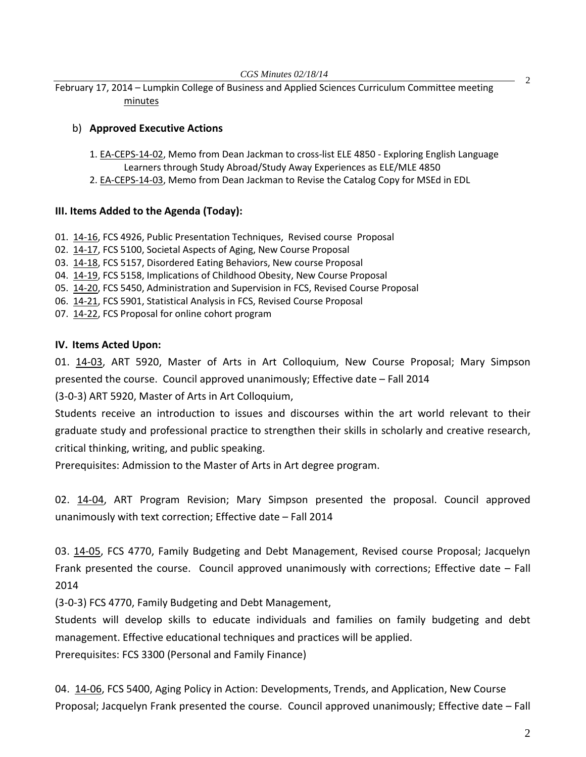February 17, 2014 – Lumpkin College of Business and Applied Sciences Curriculum Committee meeting [minutes](http://castle.eiu.edu/~eiucgs/currentagendaitems/LCBASMin02-17-14.pdf)

# b) **Approved Executive Actions**

- 1[. EA-CEPS-14-02,](http://castle.eiu.edu/~eiucgs/exec-actions/EA-CEPS-14-02.pdf) Memo from Dean Jackman to cross-list ELE 4850 Exploring English Language Learners through Study Abroad/Study Away Experiences as ELE/MLE 4850
- 2[. EA-CEPS-14-03,](http://castle.eiu.edu/~eiucgs/exec-actions/EA-CEPS-14-03.pdf) Memo from Dean Jackman to Revise the Catalog Copy for MSEd in EDL

# **III. Items Added to the Agenda (Today):**

- 01. [14-16,](http://castle.eiu.edu/~eiucgs/currentagendaitems/agenda14-16.pdf) FCS 4926, Public Presentation Techniques, Revised course Proposal
- 02. [14-17,](http://castle.eiu.edu/~eiucgs/currentagendaitems/agenda14-17.pdf) FCS 5100, Societal Aspects of Aging, New Course Proposal
- 03. [14-18,](http://castle.eiu.edu/~eiucgs/currentagendaitems/agenda14-18.pdf) FCS 5157, Disordered Eating Behaviors, New course Proposal
- 04. [14-19,](http://castle.eiu.edu/~eiucgs/currentagendaitems/agenda14-19.pdf) FCS 5158, Implications of Childhood Obesity, New Course Proposal
- 05. [14-20,](http://castle.eiu.edu/~eiucgs/currentagendaitems/agenda14-20.pdf) FCS 5450, Administration and Supervision in FCS, Revised Course Proposal
- 06. [14-21,](http://castle.eiu.edu/~eiucgs/currentagendaitems/agenda14-21.pdf) FCS 5901, Statistical Analysis in FCS, Revised Course Proposal
- 07. [14-22,](http://castle.eiu.edu/~eiucgs/currentagendaitems/agenda14-22.pdf) FCS Proposal for online cohort program

# **IV. Items Acted Upon:**

01. [14-03,](http://castle.eiu.edu/~eiucgs/currentagendaitems/agenda14-03.pdf) ART 5920, Master of Arts in Art Colloquium, New Course Proposal; Mary Simpson presented the course. Council approved unanimously; Effective date – Fall 2014

(3-0-3) ART 5920, Master of Arts in Art Colloquium,

Students receive an introduction to issues and discourses within the art world relevant to their graduate study and professional practice to strengthen their skills in scholarly and creative research, critical thinking, writing, and public speaking.

Prerequisites: Admission to the Master of Arts in Art degree program.

02. [14-04,](http://castle.eiu.edu/~eiucgs/currentagendaitems/agenda14-04.pdf) ART Program Revision; Mary Simpson presented the proposal. Council approved unanimously with text correction; Effective date – Fall 2014

03. [14-05,](http://castle.eiu.edu/~eiucgs/currentagendaitems/agenda14-05.pdf) FCS 4770, Family Budgeting and Debt Management, Revised course Proposal; Jacquelyn Frank presented the course. Council approved unanimously with corrections; Effective date – Fall 2014

(3-0-3) FCS 4770, Family Budgeting and Debt Management,

Students will develop skills to educate individuals and families on family budgeting and debt management. Effective educational techniques and practices will be applied.

Prerequisites: FCS 3300 (Personal and Family Finance)

04. [14-06,](http://castle.eiu.edu/~eiucgs/currentagendaitems/agenda14-06.pdf) FCS 5400, Aging Policy in Action: Developments, Trends, and Application, New Course Proposal; Jacquelyn Frank presented the course. Council approved unanimously; Effective date – Fall

2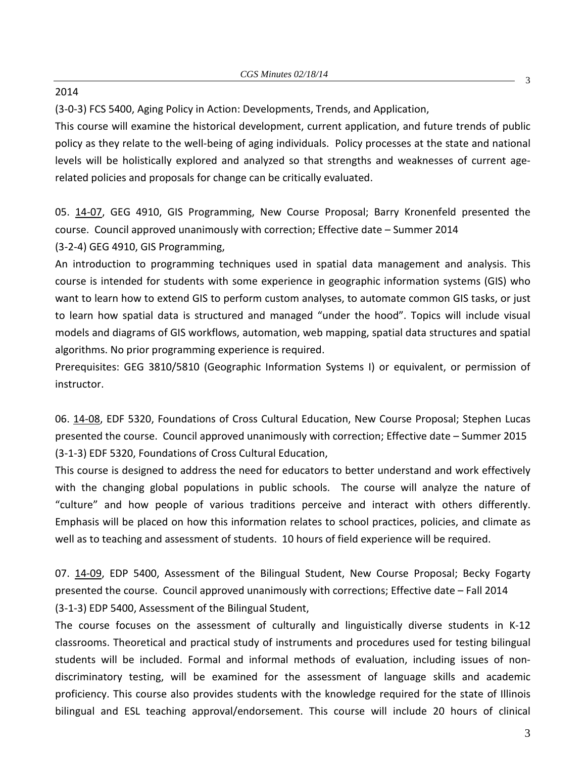#### 2014

(3-0-3) FCS 5400, Aging Policy in Action: Developments, Trends, and Application,

This course will examine the historical development, current application, and future trends of public policy as they relate to the well-being of aging individuals. Policy processes at the state and national levels will be holistically explored and analyzed so that strengths and weaknesses of current agerelated policies and proposals for change can be critically evaluated.

05. [14-07,](http://castle.eiu.edu/~eiucgs/currentagendaitems/agenda14-07.pdf) GEG 4910, GIS Programming, New Course Proposal; Barry Kronenfeld presented the course. Council approved unanimously with correction; Effective date – Summer 2014 (3-2-4) GEG 4910, GIS Programming,

An introduction to programming techniques used in spatial data management and analysis. This course is intended for students with some experience in geographic information systems (GIS) who want to learn how to extend GIS to perform custom analyses, to automate common GIS tasks, or just to learn how spatial data is structured and managed "under the hood". Topics will include visual models and diagrams of GIS workflows, automation, web mapping, spatial data structures and spatial algorithms. No prior programming experience is required.

Prerequisites: GEG 3810/5810 (Geographic Information Systems I) or equivalent, or permission of instructor.

06. [14-08,](http://castle.eiu.edu/~eiucgs/currentagendaitems/agenda14-08.pdf) EDF 5320, Foundations of Cross Cultural Education, New Course Proposal; Stephen Lucas presented the course. Council approved unanimously with correction; Effective date – Summer 2015 (3-1-3) EDF 5320, Foundations of Cross Cultural Education,

This course is designed to address the need for educators to better understand and work effectively with the changing global populations in public schools. The course will analyze the nature of "culture" and how people of various traditions perceive and interact with others differently. Emphasis will be placed on how this information relates to school practices, policies, and climate as well as to teaching and assessment of students. 10 hours of field experience will be required.

07. [14-09,](http://castle.eiu.edu/~eiucgs/currentagendaitems/agenda14-09.pdf) EDP 5400, Assessment of the Bilingual Student, New Course Proposal; Becky Fogarty presented the course. Council approved unanimously with corrections; Effective date – Fall 2014 (3-1-3) EDP 5400, Assessment of the Bilingual Student,

The course focuses on the assessment of culturally and linguistically diverse students in K-12 classrooms. Theoretical and practical study of instruments and procedures used for testing bilingual students will be included. Formal and informal methods of evaluation, including issues of nondiscriminatory testing, will be examined for the assessment of language skills and academic proficiency. This course also provides students with the knowledge required for the state of Illinois bilingual and ESL teaching approval/endorsement. This course will include 20 hours of clinical

3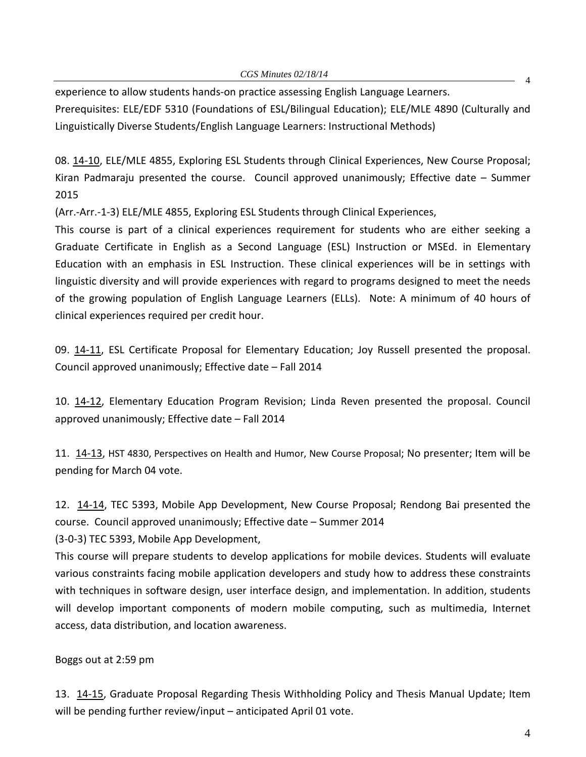4 experience to allow students hands-on practice assessing English Language Learners. Prerequisites: ELE/EDF 5310 (Foundations of ESL/Bilingual Education); ELE/MLE 4890 (Culturally and Linguistically Diverse Students/English Language Learners: Instructional Methods)

08. [14-10,](http://castle.eiu.edu/~eiucgs/currentagendaitems/agenda14-10.pdf) ELE/MLE 4855, Exploring ESL Students through Clinical Experiences, New Course Proposal; Kiran Padmaraju presented the course. Council approved unanimously; Effective date – Summer 2015

(Arr.-Arr.-1-3) ELE/MLE 4855, Exploring ESL Students through Clinical Experiences,

This course is part of a clinical experiences requirement for students who are either seeking a Graduate Certificate in English as a Second Language (ESL) Instruction or MSEd. in Elementary Education with an emphasis in ESL Instruction. These clinical experiences will be in settings with linguistic diversity and will provide experiences with regard to programs designed to meet the needs of the growing population of English Language Learners (ELLs). Note: A minimum of 40 hours of clinical experiences required per credit hour.

09. [14-11,](http://castle.eiu.edu/~eiucgs/currentagendaitems/agenda14-11.pdf) ESL Certificate Proposal for Elementary Education; Joy Russell presented the proposal. Council approved unanimously; Effective date – Fall 2014

10. [14-12,](http://castle.eiu.edu/~eiucgs/currentagendaitems/agenda14-12.pdf) Elementary Education Program Revision; Linda Reven presented the proposal. Council approved unanimously; Effective date – Fall 2014

11. [14-13,](http://castle.eiu.edu/~eiucgs/currentagendaitems/agenda14-13.pdf) HST 4830, Perspectives on Health and Humor, New Course Proposal; No presenter; Item will be pending for March 04 vote.

12. [14-14,](http://castle.eiu.edu/~eiucgs/currentagendaitems/agenda14-14.pdf) TEC 5393, Mobile App Development, New Course Proposal; Rendong Bai presented the course. Council approved unanimously; Effective date – Summer 2014

(3-0-3) TEC 5393, Mobile App Development,

This course will prepare students to develop applications for mobile devices. Students will evaluate various constraints facing mobile application developers and study how to address these constraints with techniques in software design, user interface design, and implementation. In addition, students will develop important components of modern mobile computing, such as multimedia, Internet access, data distribution, and location awareness.

Boggs out at 2:59 pm

13. [14-15,](http://castle.eiu.edu/~eiucgs/currentagendaitems/agenda14-15.pdf) Graduate Proposal Regarding Thesis Withholding Policy and Thesis Manual Update; Item will be pending further review/input – anticipated April 01 vote.